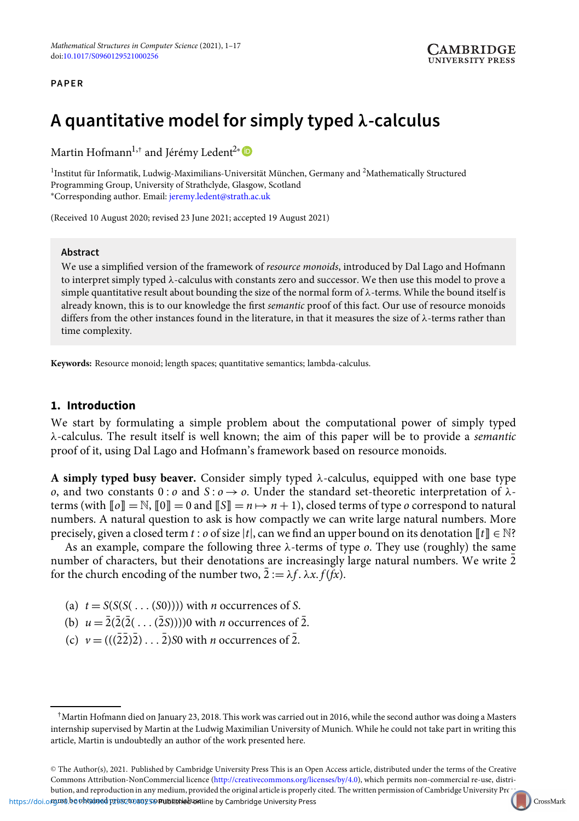#### **PAPER**

# **A quantitative model for simply typed** *λ***-calculus**

Martin Hofmann<sup>1,†</sup> and Jérémy Ledent<sup>2∗</sup> <sup>D</sup>

<sup>1</sup>Institut für Informatik, Ludwig-Maximilians-Universität München, Germany and <sup>2</sup>Mathematically Structured Programming Group, University of Strathclyde, Glasgow, Scotland <sup>∗</sup>Corresponding author. Email: jeremy.ledent@strath.ac.uk

(Received 10 August 2020; revised 23 June 2021; accepted 19 August 2021)

#### **Abstract**

We use a simplified version of the framework of *resource monoids*, introduced by Dal Lago and Hofmann to interpret simply typed  $\lambda$ -calculus with constants zero and successor. We then use this model to prove a simple quantitative result about bounding the size of the normal form of  $\lambda$ -terms. While the bound itself is already known, this is to our knowledge the first *semantic* proof of this fact. Our use of resource monoids differs from the other instances found in the literature, in that it measures the size of  $\lambda$ -terms rather than time complexity.

**Keywords:** Resource monoid; length spaces; quantitative semantics; lambda-calculus.

### **1. Introduction**

We start by formulatin[g](#page-0-0) a simple problem about the computational power of simply typed λ-calculus. The result itself is well known; the aim of this paper will be to provide a *semantic* proof of it, using Dal Lago and Hofmann's framework based on resource monoids.

**A simply typed busy beaver.** Consider simply typed  $\lambda$ -calculus, equipped with one base type *o*, and two constants 0 : *o* and *S* : *o*  $\rightarrow$  *o*. Under the standard set-theoretic interpretation of λterms (with  $\llbracket \mathbf{0} \rrbracket = \mathbb{N}, \llbracket \mathbf{0} \rrbracket = 0$  and  $\llbracket \mathbf{S} \rrbracket = n \mapsto n + 1$ ), closed terms of type *o* correspond to natural numbers. A natural question to ask is how compactly we can write large natural numbers. More precisely, given a closed term *t* : *o* of size  $|t|$ , can we find an upper bound on its denotation  $[[t]] \in \mathbb{N}$ ?

As an example, compare the following three λ-terms of type *o*. They use (roughly) the same number of characters, but their denotations are increasingly large natural numbers. We write  $\overline{2}$ for the church encoding of the number two,  $2 := \lambda f \cdot \lambda x$ .  $f(fx)$ .

- (a)  $t = S(S(S(\ldots(S0))))$  with *n* occurrences of *S*.
- (b)  $u = 2(2(2(\dots (2S))))$  with *n* occurrences of 2.
- (c)  $v = ((2\overline{2})\overline{2}) \dots \overline{2}$ )S0 with *n* occurrences of  $\overline{2}$ .

<span id="page-0-0"></span><sup>†</sup>Martin Hofmann died on January 23, 2018. This work was carried out in 2016, while the second author was doing a Masters internship supervised by Martin at the Ludwig Maximilian University of Munich. While he could not take part in writing this article, Martin is undoubtedly an author of the work presented here.

<sup>C</sup> The Author(s), 2021. Published by Cambridge University Press This is an Open Access article, distributed under the terms of the Creative Commons Attribution-NonCommercial licence [\(http://creativecommons.org/licenses/by/4.0\)](http://creativecommons.org/licenses/by/4.0), which permits non-commercial re-use, distribution, and reproduction in any medium, provided the original article is properly cited. The written permission of Cambridge University Pr[ess](http://crossmark.crossref.org/dialog?doi=https://doi.org/10.1017/S0960129521000256&domain=pdf)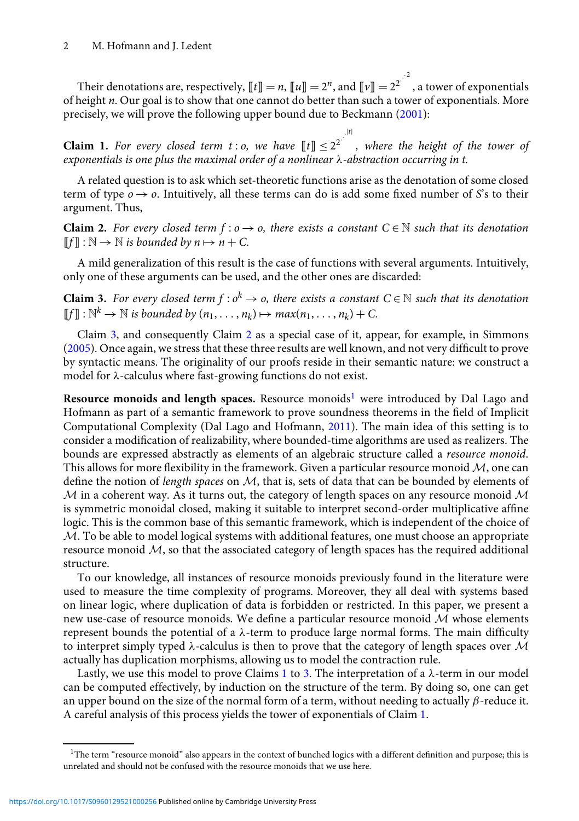Their denotations are, respectively,  $\llbracket t \rrbracket = n$ ,  $\llbracket u \rrbracket = 2^n$ , and  $\llbracket v \rrbracket = 2^{2^{n^2}}$ , a tower of exponentials of height *n*. Our goal is to show that one cannot do better than such a tower of exponentials. More precisely, we will prove the following upper bound due to Beckmann [\(2001\)](#page-15-0):

<span id="page-1-1"></span>**Claim 1.** For every closed term  $t : o$ , we have  $[[t]] \leq 2^{2^{t}}$ *, where the height of the tower of exponentials is one plus the maximal order of a nonlinear* λ*-abstraction occurring in t.*

A related question is to ask which set-theoretic functions arise as the denotation of some closed term of type  $o \rightarrow o$ . Intuitively, all these terms can do is add some fixed number of *S*'s to their argument. Thus,

<span id="page-1-2"></span>**Claim 2.** For every closed term  $f: o \rightarrow o$ , there exists a constant  $C \in \mathbb{N}$  such that its denotation  $[$ [f] :  $\mathbb{N} \rightarrow \mathbb{N}$  *is bounded by n*  $\mapsto$  *n* + *C*.

A mild generalization of this result is the case of functions with several arguments. Intuitively, only one of these arguments can be used, and the other ones are discarded:

<span id="page-1-3"></span>**Claim 3.** *For every closed term*  $f: o^k \to o$ , *there exists a constant*  $C \in \mathbb{N}$  *such that its denotation*  $[[f]] : \mathbb{N}^k \to \mathbb{N}$  *is bounded by*  $(n_1, \ldots, n_k) \mapsto max(n_1, \ldots, n_k) + C$ .

Claim [3,](#page-11-0) and consequently Claim [2](#page-7-0) as a special case of it, appear, for example, in Simmons [\(2005\)](#page-16-0). Once again, we stress that these three results are well known, and not very difficult to prove by syntactic means. The originality of our proofs reside in their semantic nature: we construct a model for λ-calculus where fast-growing functions do not exist.

**Resource monoids and length spaces.** Resource monoids<sup>1</sup> were introduced by Dal Lago and Hofmann as part of a semantic framework to prove soundness theorems in the field of Implicit Computational Complexity (Dal Lago and Hofmann, [2011\)](#page-16-1). The main idea of this setting is to consider a modification of realizability, where bounded-time algorithms are used as realizers. The bounds are expressed abstractly as elements of an algebraic structure called a *resource monoid*. This allows for more flexibility in the framework. Given a particular resource monoid *M*, one can define the notion of *length spaces* on *M*, that is, sets of data that can be bounded by elements of  $M$  in a coherent way. As it turns out, the category of length spaces on any resource monoid  $M$ is symmetric monoidal closed, making it suitable to interpret second-order multiplicative affine logic. This is the common base of this semantic framework, which is independent of the choice of *M*. To be able to model logical systems with additional features, one must choose an appropriate resource monoid *M*, so that the associated category of length spaces has the required additional structure.

To our knowledge, all instances of resource monoids previously found in the literature were used to measure the time complexity of programs. Moreover, they all deal with systems based on linear logic, where duplication of data is forbidden or restricted. In this paper, we present a new use-case of resource monoids. We define a particular resource monoid *M* whose elements represent bounds the potential of a λ-term to produce large normal forms. The main difficulty to interpret simply typed λ-calculus is then to prove that the category of length spaces over *M* actually has duplication morphisms, allowing us to model the contraction rule.

Lastly, we use this model to prove Claims [1](#page-1-1) to [3.](#page-11-0) The interpretation of a  $\lambda$ -term in our model can be computed effectively, by induction on the structure of the term. By doing so, one can get an upper bound on the size of the normal form of a term, without needing to actually  $\beta$ -reduce it. A careful analysis of this process yields the tower of exponentials of Claim [1.](#page-1-1)

<span id="page-1-0"></span> $1$ The term "resource monoid" also appears in the context of bunched logics with a different definition and purpose; this is unrelated and should not be confused with the resource monoids that we use here.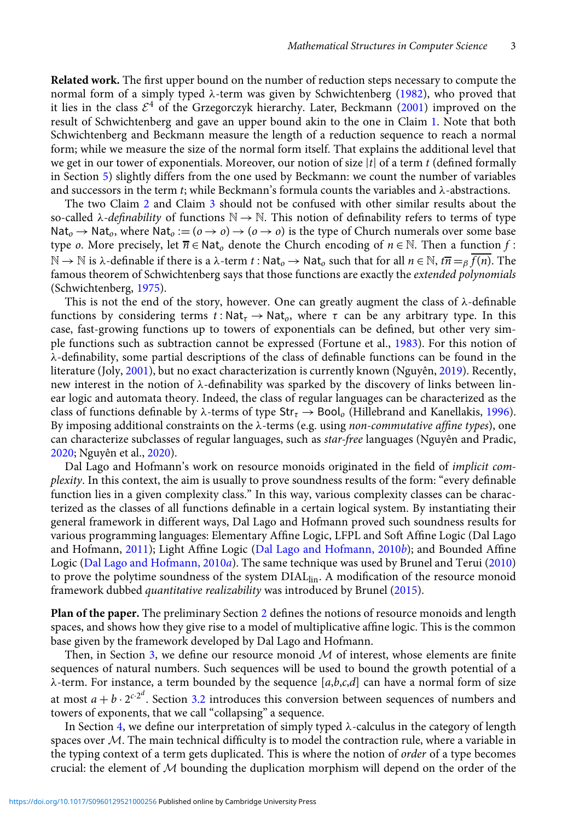**Related work.** The first upper bound on the number of reduction steps necessary to compute the normal form of a simply typed  $\lambda$ -term was given by Schwichtenberg [\(1982\)](#page-16-2), who proved that it lies in the class  $\mathcal{E}^4$  of the Grzegorczyk hierarchy. Later, Beckmann [\(2001\)](#page-15-0) improved on the result of Schwichtenberg and gave an upper bound akin to the one in Claim [1.](#page-1-1) Note that both Schwichtenberg and Beckmann measure the length of a reduction sequence to reach a normal form; while we measure the size of the normal form itself. That explains the additional level that we get in our tower of exponentials. Moreover, our notion of size |*t*| of a term *t* (defined formally in Section [5\)](#page-11-1) slightly differs from the one used by Beckmann: we count the number of variables and successors in the term *t*; while Beckmann's formula counts the variables and λ-abstractions.

The two Claim [2](#page-1-2) and Claim [3](#page-1-3) should not be confused with other similar results about the so-called  $\lambda$ -*definability* of functions  $\mathbb{N} \to \mathbb{N}$ . This notion of definability refers to terms of type Nat<sub>o</sub>  $\rightarrow$  Nat<sub>o</sub>, where Nat<sub>o</sub> := ( $o \rightarrow o$ )  $\rightarrow$  ( $o \rightarrow o$ ) is the type of Church numerals over some base type *o*. More precisely, let  $\overline{n} \in \text{Nat}_o$  denote the Church encoding of  $n \in \mathbb{N}$ . Then a function  $f$ :  $\mathbb{N} \to \mathbb{N}$  is  $\lambda$ -definable if there is a  $\lambda$ -term *t* : Nat<sub>*o*</sub>  $\to$  Nat<sub>*o*</sub> such that for all  $n \in \mathbb{N}$ ,  $t\overline{n} = g f(n)$ . The famous theorem of Schwichtenberg says that those functions are exactly the *extended polynomials* (Schwichtenberg, [1975\)](#page-16-3).

This is not the end of the story, however. One can greatly augment the class of  $\lambda$ -definable functions by considering terms  $t : \text{Nat}_\tau \to \text{Nat}_\sigma$ , where  $\tau$  can be any arbitrary type. In this case, fast-growing functions up to towers of exponentials can be defined, but other very simple functions such as subtraction cannot be expressed (Fortune et al., [1983\)](#page-16-4). For this notion of λ-definability, some partial descriptions of the class of definable functions can be found in the literature (Joly, [2001\)](#page-16-5), but no exact characterization is currently known (Nguyên, [2019\)](#page-16-6). Recently, new interest in the notion of  $\lambda$ -definability was sparked by the discovery of links between linear logic and automata theory. Indeed, the class of regular languages can be characterized as the class of functions definable by  $\lambda$ -terms of type  $Str_{\tau} \to \text{Bool}_o$  (Hillebrand and Kanellakis, [1996\)](#page-16-7). By imposing additional constraints on the λ-terms (e.g. using *non-commutative affine types*), one can characterize subclasses of regular languages, such as *star-free* languages (Nguyên and Pradic, [2020;](#page-16-8) Nguyên et al., [2020\)](#page-16-9).

Dal Lago and Hofmann's work on resource monoids originated in the field of *implicit complexity*. In this context, the aim is usually to prove soundness results of the form: "every definable function lies in a given complexity class." In this way, various complexity classes can be characterized as the classes of all functions definable in a certain logical system. By instantiating their general framework in different ways, Dal Lago and Hofmann proved such soundness results for various programming languages: Elementary Affine Logic, LFPL and Soft Affine Logic (Dal Lago and Hofmann, [2011\)](#page-16-1); Light Affine Logic [\(Dal Lago and Hofmann, 2010](#page-16-10)*b*); and Bounded Affine Logic [\(Dal Lago and Hofmann, 2010](#page-16-11)*a*). The same technique was used by Brunel and Terui [\(2010\)](#page-15-1) to prove the polytime soundness of the system DIAL<sub>lin</sub>. A modification of the resource monoid framework dubbed *quantitative realizability* was introduced by Brunel [\(2015\)](#page-15-2).

**Plan of the paper.** The preliminary Section [2](#page-3-0) defines the notions of resource monoids and length spaces, and shows how they give rise to a model of multiplicative affine logic. This is the common base given by the framework developed by Dal Lago and Hofmann.

Then, in Section [3,](#page-5-0) we define our resource monoid *M* of interest, whose elements are finite sequences of natural numbers. Such sequences will be used to bound the growth potential of a λ-term. For instance, a term bounded by the sequence [*a*,*b*,*c*,*d*] can have a normal form of size at most  $a + b \cdot 2^{c \cdot 2^d}$ . Section [3.2](#page-7-1) introduces this conversion between sequences of numbers and towers of exponents, that we call "collapsing" a sequence.

In Section [4,](#page-8-0) we define our interpretation of simply typed  $\lambda$ -calculus in the category of length spaces over *M*. The main technical difficulty is to model the contraction rule, where a variable in the typing context of a term gets duplicated. This is where the notion of *order* of a type becomes crucial: the element of *M* bounding the duplication morphism will depend on the order of the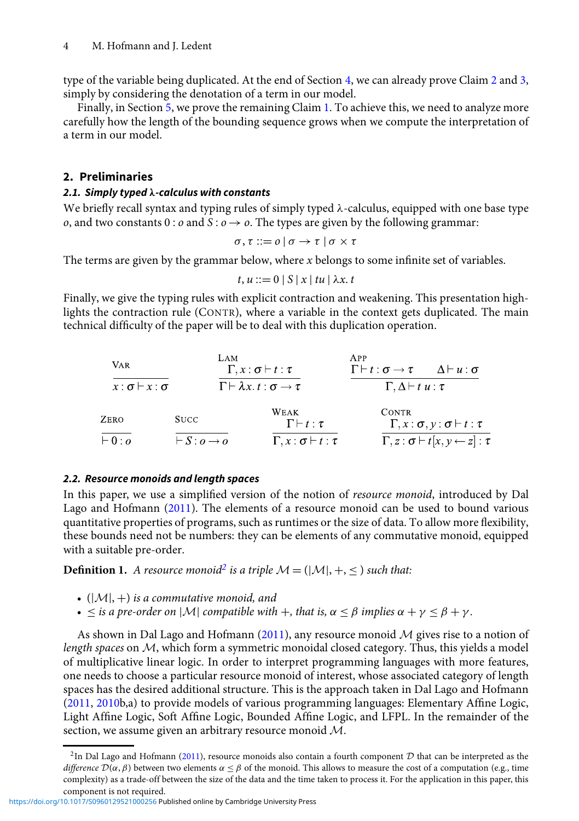type of the variable being duplicated. At the end of Section [4,](#page-8-0) we can already prove Claim [2](#page-7-0) and [3,](#page-11-0) simply by considering the denotation of a term in our model.

Finally, in Section [5,](#page-11-1) we prove the remaining Claim [1.](#page-1-1) To achieve this, we need to analyze more carefully how the length of the bounding sequence grows when we compute the interpretation of a term in our model.

## <span id="page-3-0"></span>**2. Preliminaries**

## <span id="page-3-3"></span>*2.1. Simply typed λ-calculus with constants*

We briefly recall syntax and typing rules of simply typed  $\lambda$ -calculus, equipped with one base type *o*, and two constants 0 : *o* and *S* :  $o \rightarrow o$ . The types are given by the following grammar:

$$
\sigma,\tau ::= o \ | \ \sigma \rightarrow \tau \ | \ \sigma \times \tau
$$

The terms are given by the grammar below, where *x* belongs to some infinite set of variables.

$$
t, u ::= 0 | S | x | tu | \lambda x. t
$$

Finally, we give the typing rules with explicit contraction and weakening. This presentation highlights the contraction rule (CONTR), where a variable in the context gets duplicated. The main technical difficulty of the paper will be to deal with this duplication operation.

| VAR.<br>$x : \sigma \vdash x : \sigma$ |                                | LAM<br>$\Gamma, x : \sigma \vdash t : \tau$            | A PP<br>$\Gamma \vdash t : \sigma \rightarrow \tau$ $\Delta \vdash u : \sigma$ |                                                           |
|----------------------------------------|--------------------------------|--------------------------------------------------------|--------------------------------------------------------------------------------|-----------------------------------------------------------|
|                                        |                                | $\Gamma \vdash \lambda x. t : \sigma \rightarrow \tau$ | $\Gamma, \Delta \vdash t u : \tau$                                             |                                                           |
| ZERO                                   | <b>SUCC</b>                    | WEAK<br>$\Gamma \vdash t : \tau$                       | <b>CONTR</b>                                                                   | $\Gamma, x : \sigma, y : \sigma \vdash t : \tau$          |
| $\vdash 0 : \overline{o}$              | $\vdash S$ : $o \rightarrow o$ | $\Gamma, x : \sigma \vdash t : \tau$                   |                                                                                | $[\Gamma, z : \sigma \vdash t [x, y \leftarrow z] : \tau$ |

#### <span id="page-3-2"></span>*2.2. Resource monoids and length spaces*

In this paper, we use a simplified version of the notion of *resource monoid*, introduced by Dal Lago and Hofmann [\(2011\)](#page-16-1). The elements of a resource monoid can be used to bound various quantitative properties of programs, such as runtimes or the size of data. To allow more flexibility, these bounds need not be numbers: they can be elements of any commutative monoid, equipped with a suitable pre-order.

**Definition 1.** *A resource monoid*<sup>2</sup> *is a triple*  $\mathcal{M} = (|\mathcal{M}|, +, \leq)$  *such that:* 

- (|*M*|, +) *is a commutative monoid, and*
- $\bullet \leq$  *is a pre-order on*  $|\mathcal{M}|$  *compatible with*  $+$ *, that is,*  $\alpha \leq \beta$  *implies*  $\alpha + \gamma \leq \beta + \gamma$ *.*

As shown in Dal Lago and Hofmann [\(2011\)](#page-16-1), any resource monoid *M* gives rise to a notion of *length spaces* on *M*, which form a symmetric monoidal closed category. Thus, this yields a model of multiplicative linear logic. In order to interpret programming languages with more features, one needs to choose a particular resource monoid of interest, whose associated category of length spaces has the desired additional structure. This is the approach taken in Dal Lago and Hofmann [\(2011,](#page-16-1) [2010b](#page-16-10),a) to provide models of various programming languages: Elementary Affine Logic, Light Affine Logic, Soft Affine Logic, Bounded Affine Logic, and LFPL. In the remainder of the section, we assume given an arbitrary resource monoid *M*.

#### <https://doi.org/10.1017/S0960129521000256>Published online by Cambridge University Press

<span id="page-3-1"></span><sup>&</sup>lt;sup>2</sup>In Dal Lago and Hofmann [\(2011\)](#page-16-1), resource monoids also contain a fourth component *D* that can be interpreted as the *difference*  $D(\alpha, \beta)$  between two elements  $\alpha \leq \beta$  of the monoid. This allows to measure the cost of a computation (e.g., time complexity) as a trade-off between the size of the data and the time taken to process it. For the application in this paper, this component is not required.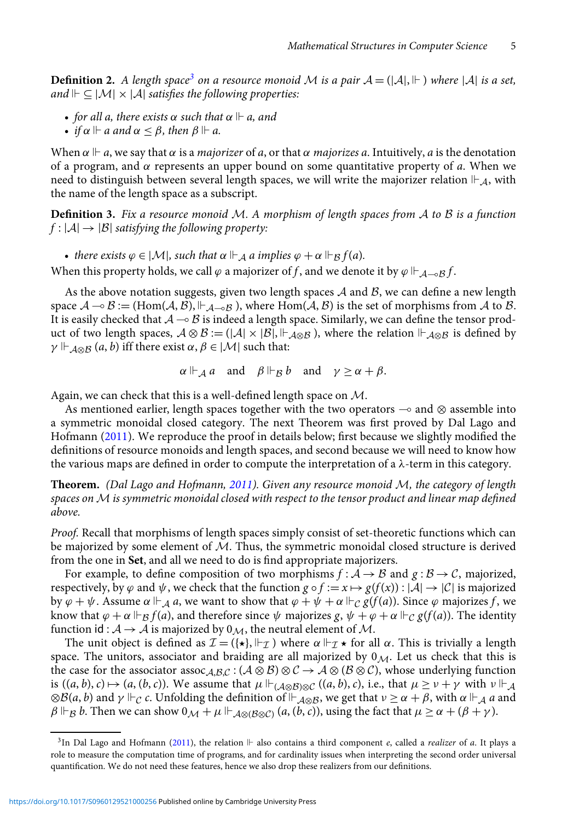**Definition 2.** A length space<sup>3</sup> on a resource monoid M is a pair  $A = (|A|, |F|)$  where  $|A|$  is a set,  $and \Vdash \subseteq |\mathcal{M}| \times |\mathcal{A}|$  satisfies the following properties:

- $\bullet$  *for all a, there exists*  $\alpha$  *such that*  $\alpha \Vdash a$ *, and*
- *if*  $\alpha \Vdash a$  and  $\alpha \leq \beta$ , then  $\beta \Vdash a$ .

When  $\alpha \Vdash a,$  we say that  $\alpha$  is a *majorizer* of  $a,$  or that  $\alpha$  *majorizes*  $a.$  Intuitively,  $a$  is the denotation of a program, and  $\alpha$  represents an upper bound on some quantitative property of  $\alpha$ . When we need to distinguish between several length spaces, we will write the majorizer relation  $\mathrel{\Vdash}_\mathcal{A}$ , with the name of the length space as a subscript.

**Definition 3.** *Fix a resource monoid M. A morphism of length spaces from A to B is a function*  $f : |A| \rightarrow |B|$  *satisfying the following property:* 

• *there exists*  $\varphi \in |\mathcal{M}|$ *, such that*  $\alpha \Vdash_{\mathcal{A}} a$  *implies*  $\varphi + \alpha \Vdash_{\mathcal{B}} f(a)$ *.* 

When this property holds, we call  $\varphi$  a majorizer of  $f$ , and we denote it by  $\varphi \Vdash_{\mathcal{A} \multimap \mathcal{B}} f$ .

As the above notation suggests, given two length spaces *A* and *B*, we can define a new length space  $A \rightarrow B := (\text{Hom}(A, B), \Vdash_{A \rightarrow B}$ , where  $\text{Hom}(A, B)$  is the set of morphisms from *A* to *B*. It is easily checked that  $A \rightarrow \beta$  is indeed a length space. Similarly, we can define the tensor product of two length spaces,  $A \otimes B := (|A| \times |B|, \Vdash_{A \otimes B} )$ , where the relation  $\Vdash_{A \otimes B}$  is defined by  $\gamma \Vdash_{\mathcal{A}\otimes\mathcal{B}} (a,b)$  iff there exist  $\alpha, \beta \in |\mathcal{M}|$  such that:

$$
\alpha \Vdash_{\mathcal{A}} a
$$
 and  $\beta \Vdash_{\mathcal{B}} b$  and  $\gamma \ge \alpha + \beta$ .

Again, we can check that this is a well-defined length space on *M*.

As mentioned earlier, length spaces together with the two operators  $\multimap$  and  $\otimes$  assemble into a symmetric monoidal closed category. The next Theorem was first proved by Dal Lago and Hofmann [\(2011\)](#page-16-1). We reproduce the proof in details below; first because we slightly modified the definitions of resource monoids and length spaces, and second because we will need to know how the various maps are defined in order to compute the interpretation of a  $\lambda$ -term in this category.

**Theorem.** *(Dal Lago and Hofmann, [2011\)](#page-16-1). Given any resource monoid M, the category of length spaces on Mis symmetric monoidal closed with respect to the tensor product and linear map defined above.*

*Proof.* Recall that morphisms of length spaces simply consist of set-theoretic functions which can be majorized by some element of *M*. Thus, the symmetric monoidal closed structure is derived from the one in **Set**, and all we need to do is find appropriate majorizers.

For example, to define composition of two morphisms  $f : A \rightarrow B$  and  $g : B \rightarrow C$ , majorized, respectively, by  $\varphi$  and  $\psi$ , we check that the function  $g \circ f := x \mapsto g(f(x)) : |A| \to |C|$  is majorized by  $\varphi + \psi$ . Assume  $\alpha \Vdash_{\mathcal{A}} a$ , we want to show that  $\varphi + \psi + \alpha \Vdash_{\mathcal{C}} g(f(a))$ . Since  $\varphi$  majorizes *f*, we know that  $\varphi + \alpha \Vdash_B f(a)$ , and therefore since  $\psi$  majorizes  $g, \psi + \varphi + \alpha \Vdash_C g(f(a))$ . The identity function id :  $A \rightarrow A$  is majorized by  $0_M$ , the neutral element of M.

The unit object is defined as  $\mathcal{I} = (\{\star\}, \Vdash_{\mathcal{I}})$  where  $\alpha \Vdash_{\mathcal{I}} \star$  for all  $\alpha$ . This is trivially a length space. The unitors, associator and braiding are all majorized by 0*M*. Let us check that this is the case for the associator assoc<sub>*A*,*B*,*C* : ( $A \otimes B$ )  $\otimes C \rightarrow A \otimes (B \otimes C)$ , whose underlying function</sub> is  $((a, b), c) \mapsto (a, (b, c))$ . We assume that  $\mu \Vdash_{(\mathcal{A}\otimes\mathcal{B})\otimes\mathcal{C}} ((a, b), c)$ , i.e., that  $\mu \geq \nu + \gamma$  with  $\nu \Vdash_{\mathcal{A}}$  $\otimes$ *B*(*a*, *b*) and  $\gamma \Vdash_{\mathcal{C}} c$ . Unfolding the definition of  $\Vdash_{\mathcal{A}\otimes\mathcal{B}}$ , we get that  $\nu \geq \alpha + \beta$ , with  $\alpha \Vdash_{\mathcal{A}} a$  and  $\beta \Vdash_{\mathcal{B}} b$ . Then we can show  $0_{\mathcal{M}} + \mu \Vdash_{\mathcal{A} \otimes (\mathcal{B} \otimes \mathcal{C})} (a, (b, c))$ , using the fact that  $\mu \ge \alpha + (\beta + \gamma)$ .

<span id="page-4-0"></span><sup>3</sup>In [D](#page-16-1)al Lago and Hofmann [\(2011\)](#page-16-1), the relation  $\Vdash$  also contains a third component *e*, called a *realizer* of *a*. It plays a role to measure the computation time of programs, and for cardinality issues when interpreting the second order universal quantification. We do not need these features, hence we also drop these realizers from our definitions.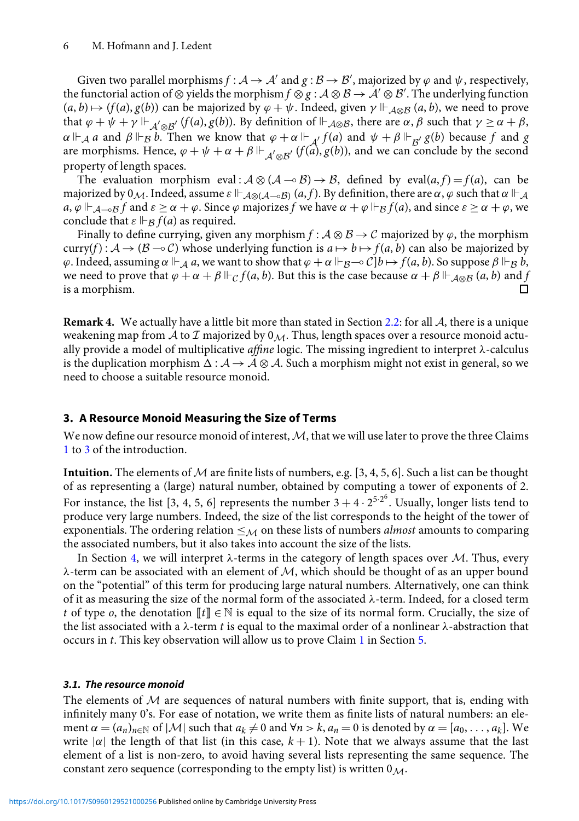Given two parallel morphisms  $f : A \to A'$  and  $g : B \to B'$ , majorized by  $\varphi$  and  $\psi$ , respectively, the functorial action of  $\otimes$  yields the morphism  $f \otimes g : A \otimes B \to A' \otimes B'$ . The underlying function  $(a, b) \mapsto (f(a), g(b))$  can be majorized by  $\varphi + \psi$ . Indeed, given  $\gamma \Vdash_{\mathcal{A}\otimes\mathcal{B}} (a, b)$ , we need to prove that  $\varphi + \psi + \gamma \Vdash_{\mathcal{A}' \otimes \mathcal{B}'} (f(a), g(b))$ . By definition of  $\Vdash_{\mathcal{A} \otimes \mathcal{B}}$ , there are  $\alpha, \beta$  such that  $\gamma \geq \alpha + \beta$ ,  $\alpha \Vdash_{\mathcal{A}} a$  and  $\beta \Vdash_{\mathcal{B}} b$ . Then we know that  $\varphi + \alpha \Vdash_{\mathcal{A}} f(a)$  and  $\psi + \beta \Vdash_{\mathcal{B}} g(b)$  because *f* and *g*<br>are morphisms. Hence  $\alpha + \psi + \alpha + \beta \Vdash_{\mathcal{A}} (f(a), g(b))$  and we can conclude by the second are morphisms. Hence,  $\varphi + \psi + \alpha + \beta \Vdash_{\mathcal{A}' \otimes \mathcal{B}'} (f(\check{a}), g(\check{b}))$ , and we can conclude by the second property of length spaces.

The evaluation morphism eval :  $A \otimes (A \rightarrow B) \rightarrow B$ , defined by eval $(a, f) = f(a)$ , can be majorized by  $0_M$ . Indeed, assume  $\varepsilon \Vdash_{\mathcal{A}\otimes(\mathcal{A}\multimap\mathcal{B})}(a, f)$ . By definition, there are  $\alpha, \varphi$  such that  $\alpha \Vdash_{\mathcal{A}}$  $a, \varphi \Vdash_{\mathcal{A}\to\mathcal{B}} f$  and  $\varepsilon \geq \alpha + \varphi$ . Since  $\varphi$  majorizes  $f$  we have  $\alpha + \varphi \Vdash_{\mathcal{B}} f(a)$ , and since  $\varepsilon \geq \alpha + \varphi$ , we conclude that  $\varepsilon \Vdash_{\mathcal{B}} f(a)$  as required.

Finally to define currying, given any morphism  $f : \mathcal{A} \otimes \mathcal{B} \to \mathcal{C}$  majorized by  $\varphi$ , the morphism curry(*f*) :  $A \rightarrow (B \rightarrow c)$  whose underlying function is  $a \mapsto b \mapsto f(a, b)$  can also be majorized by  $\varphi$ . Indeed, assuming  $\alpha \Vdash_{\mathcal{A}} a$ , we want to show that  $\varphi + \alpha \Vdash_{\mathcal{B}} \neg\neg C]b \mapsto f(a, b)$ . So suppose  $\beta \Vdash_{\mathcal{B}} b$ , we need to prove that  $\varphi + \alpha + \beta \Vdash_{\mathcal{C}} f(a, b)$ . But this is the case because  $\alpha + \beta \Vdash_{\mathcal{A} \otimes \mathcal{B}} (a, b)$  and *f* is a morphism.

**Remark 4.** We actually have a little bit more than stated in Section [2.2:](#page-3-2) for all *A*, there is a unique weakening map from *A* to *I* majorized by 0*M*. Thus, length spaces over a resource monoid actually provide a model of multiplicative *affine* logic. The missing ingredient to interpret λ-calculus is the duplication morphism  $\Delta : \mathcal{A} \to \mathcal{A} \otimes \mathcal{A}$ . Such a morphism might not exist in general, so we need to choose a suitable resource monoid.

## <span id="page-5-0"></span>**3. A Resource Monoid Measuring the Size of Terms**

We now define our resource monoid of interest,*M*, that we will use later to prove the three Claims [1](#page-1-1) to [3](#page-11-0) of the introduction.

**Intuition.** The elements of *M* are finite lists of numbers, e.g. [3, 4, 5, 6]. Such a list can be thought of as representing a (large) natural number, obtained by computing a tower of exponents of 2. For instance, the list [3, 4, 5, 6] represents the number  $3 + 4 \cdot 2^{5 \cdot 2^6}$ . Usually, longer lists tend to produce very large numbers. Indeed, the size of the list corresponds to the height of the tower of exponentials. The ordering relation  $\leq_M$  on these lists of numbers *almost* amounts to comparing the associated numbers, but it also takes into account the size of the lists.

In Section [4,](#page-8-0) we will interpret λ-terms in the category of length spaces over *M*. Thus, every  $\lambda$ -term can be associated with an element of  $\mathcal{M}$ , which should be thought of as an upper bound on the "potential" of this term for producing large natural numbers. Alternatively, one can think of it as measuring the size of the normal form of the associated  $\lambda$ -term. Indeed, for a closed term *t* of type *o*, the denotation  $[[t]] \in \mathbb{N}$  is equal to the size of its normal form. Crucially, the size of the list associated with a  $\lambda$ -term *t* is equal to the maximal order of a nonlinear  $\lambda$ -abstraction that occurs in *t*. This key observation will allow us to prove Claim [1](#page-1-1) in Section [5.](#page-11-1)

#### *3.1. The resource monoid*

The elements of *M* are sequences of natural numbers with finite support, that is, ending with infinitely many 0's. For ease of notation, we write them as finite lists of natural numbers: an element  $\alpha = (a_n)_{n \in \mathbb{N}}$  of  $|\mathcal{M}|$  such that  $a_k \neq 0$  and  $\forall n > k$ ,  $a_n = 0$  is denoted by  $\alpha = [a_0, \ldots, a_k]$ . We write  $|\alpha|$  the length of that list (in this case,  $k+1$ ). Note that we always assume that the last element of a list is non-zero, to avoid having several lists representing the same sequence. The constant zero sequence (corresponding to the empty list) is written  $0_M$ .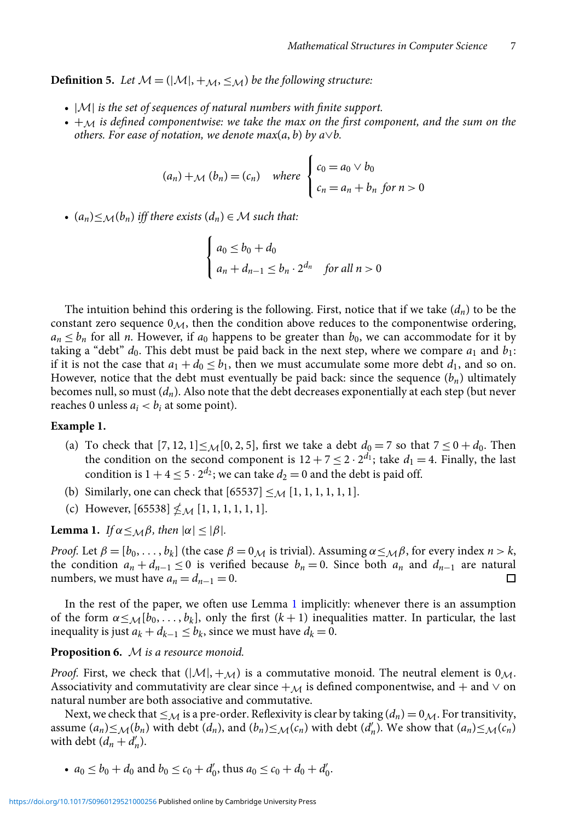**Definition 5.** Let  $M = (|M|, +_M, \leq_M)$  be the following structure:

- |*M*| *is the set of sequences of natural numbers with finite support.*
- $\bullet +_{\mathcal{M}}$  *is defined componentwise: we take the max on the first component, and the sum on the others. For ease of notation, we denote max(a, b) by a* $\vee$ *b.*

$$
(a_n) + \mathcal{M}(b_n) = (c_n) \quad \text{where } \begin{cases} c_0 = a_0 \vee b_0 \\ c_n = a_n + b_n \text{ for } n > 0 \end{cases}
$$

•  $(a_n) \leq M(b_n)$  *iff there exists*  $(d_n) \in M$  *such that:* 

$$
\begin{cases}\na_0 \le b_0 + d_0 \\
a_n + d_{n-1} \le b_n \cdot 2^{d_n} & \text{for all } n > 0\n\end{cases}
$$

The intuition behind this ordering is the following. First, notice that if we take  $(d_n)$  to be the constant zero sequence  $0_M$ , then the condition above reduces to the componentwise ordering,  $a_n \leq b_n$  for all *n*. However, if  $a_0$  happens to be greater than  $b_0$ , we can accommodate for it by taking a "debt"  $d_0$ . This debt must be paid back in the next step, where we compare  $a_1$  and  $b_1$ : if it is not the case that  $a_1 + d_0 \leq b_1$ , then we must accumulate some more debt  $d_1$ , and so on. However, notice that the debt must eventually be paid back: since the sequence  $(b_n)$  ultimately becomes null, so must (*dn*). Also note that the debt decreases exponentially at each step (but never reaches 0 unless  $a_i < b_i$  at some point).

#### **Example 1.**

- (a) To check that [7, 12, 1]  $\leq M$ [0, 2, 5], first we take a debt  $d_0 = 7$  so that  $7 \leq 0 + d_0$ . Then the condition on the second component is  $12 + 7 \leq 2 \cdot 2^{d_1}$ ; take  $d_1 = 4$ . Finally, the last condition is  $1 + 4 \le 5 \cdot 2^{d_2}$ ; we can take  $d_2 = 0$  and the debt is paid off.
- (b) Similarly, one can check that [65537] <sup>≤</sup>*<sup>M</sup>* [1, 1, 1, 1, 1, 1].
- (c) However,  $[65538] \nleq_{\mathcal{M}} [1, 1, 1, 1, 1, 1]$ .

**Lemma 1.** *If*  $\alpha \leq_{\mathcal{M}} \beta$ *, then*  $|\alpha| \leq |\beta|$ *.* 

*Proof.* Let  $\beta = [b_0, \ldots, b_k]$  (the case  $\beta = 0_M$  is trivial). Assuming  $\alpha \leq_M \beta$ , for every index  $n > k$ , the condition  $a_n + d_{n-1} \leq 0$  is verified because  $b_n = 0$ . Since both  $a_n$  and  $d_{n-1}$  are natural numbers, we must have  $a_n = d_{n-1} = 0$ . □

In the rest of the paper, we often use Lemma [1](#page-1-1) implicitly: whenever there is an assumption of the form  $\alpha \leq M[b_0, \ldots, b_k]$ , only the first  $(k+1)$  inequalities matter. In particular, the last inequality is just  $a_k + d_{k-1} \leq b_k$ , since we must have  $d_k = 0$ .

### **Proposition 6.** *M is a resource monoid.*

*Proof.* First, we check that  $(|M|, +<sub>M</sub>)$  is a commutative monoid. The neutral element is  $0<sub>M</sub>$ . Associativity and commutativity are clear since  $+<sub>M</sub>$  is defined componentwise, and + and  $\vee$  on natural number are both associative and commutative.

Next, we check that  $\leq$ *M* is a pre-order. Reflexivity is clear by taking ( $d_n$ ) = 0 $M$ . For transitivity, assume  $(a_n) \leq \mathcal{M}(b_n)$  with debt  $(d_n)$ , and  $(b_n) \leq \mathcal{M}(c_n)$  with debt  $(d'_n)$ . We show that  $(a_n) \leq \mathcal{M}(c_n)$ with debt  $(d_n + d'_n)$ .

•  $a_0 \le b_0 + d_0$  and  $b_0 \le c_0 + d'_0$ , thus  $a_0 \le c_0 + d_0 + d'_0$ .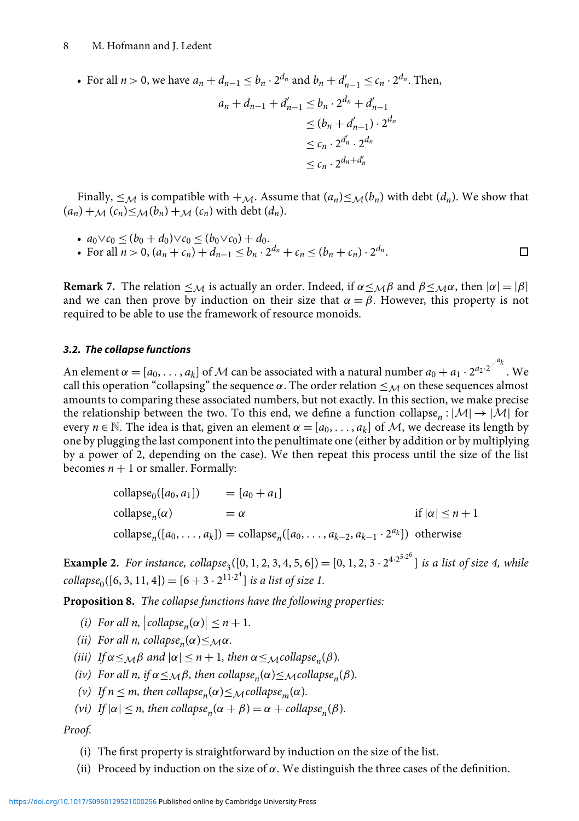• For all  $n > 0$ , we have  $a_n + d_{n-1} \le b_n \cdot 2^{d_n}$  and  $b_n + d'_{n-1} \le c_n \cdot 2^{d_n}$ . Then,  $a_n + d_{n-1} + d'_{n-1} \leq b_n \cdot 2^{d_n} + d'_{n-1}$ ≤  $(b_n + d'_{n-1}) \cdot 2^{d_n}$  $\leq c_n \cdot 2^{d'_n} \cdot 2^{d_n}$ 

Finally,  $\leq_M$  is compatible with  $+\mathcal{M}$ . Assume that  $(a_n) \leq_M (b_n)$  with debt  $(d_n)$ . We show that  $(a_n) + M(c_n) \leq M(b_n) + M(c_n)$  with debt  $(d_n)$ .

 $\leq c_n \cdot 2^{d_n+d'_n}$ 

 $\Box$ 

•  $a_0 \vee c_0 \le (b_0 + d_0) \vee c_0 \le (b_0 \vee c_0) + d_0.$ 

• For all  $n > 0$ ,  $(a_n + c_n) + d_{n-1} \le b_n \cdot 2^{d_n} + c_n \le (b_n + c_n) \cdot 2^{d_n}$ .

**Remark 7.** The relation  $\leq_M$  is actually an order. Indeed, if  $\alpha \leq_M \beta$  and  $\beta \leq_M \alpha$ , then  $|\alpha| = |\beta|$ and we can then prove by induction on their size that  $\alpha = \beta$ . However, this property is not required to be able to use the framework of resource monoids.

## <span id="page-7-1"></span>*3.2. The collapse functions*

An element  $\alpha = [a_0, \ldots, a_k]$  of *M* can be associated with a natural number  $a_0 + a_1 \cdot 2^{a_2 \cdot 2^{n \cdot a_k}}$ . We call this operation "collapsing" the sequence  $\alpha$ . The order relation  $\leq_M$  on these sequences almost amounts to comparing these associated numbers, but not exactly. In this section, we make precise the relationship between the two. To this end, we define a function collapse<sub>n</sub> :  $|M| \rightarrow |M|$  for every  $n \in \mathbb{N}$ . The idea is that, given an element  $\alpha = [a_0, \ldots, a_k]$  of M, we decrease its length by one by plugging the last component into the penultimate one (either by addition or by multiplying by a power of 2, depending on the case). We then repeat this process until the size of the list becomes  $n + 1$  or smaller. Formally:

$$
\begin{aligned}\n\text{collapse}_0([a_0, a_1]) &= [a_0 + a_1] \\
\text{collapse}_n(\alpha) &= \alpha & \text{if } |\alpha| \le n + 1 \\
\text{collapse}_n([a_0, \dots, a_k]) &= \text{collapse}_n([a_0, \dots, a_{k-2}, a_{k-1} \cdot 2^{a_k}]) \text{ otherwise}\n\end{aligned}
$$

<span id="page-7-0"></span>**Example 2.** For instance, collapse<sub>3</sub>([0, 1, 2, 3, 4, 5, 6]) = [0, 1, 2, 3 · 2<sup>4-25-26</sup>] is a list of size 4, while  $\text{collapse}_0([6, 3, 11, 4]) = [6 + 3 \cdot 2^{11 \cdot 2^4}] \text{ is a list of size 1.}$ 

<span id="page-7-3"></span><span id="page-7-2"></span>**Proposition 8.** *The collapse functions have the following properties:*

- *(i)* For all *n*,  $|collapse_n(\alpha)| \leq n + 1$ .
- *(ii)* For all n, collapse<sub>n</sub> $(\alpha) \leq M\alpha$ .
- *(iii) If*  $\alpha \leq_{\mathcal{M}} \beta$  *and*  $|\alpha| \leq n + 1$ *, then*  $\alpha \leq_{\mathcal{M}} \beta$ *collapse<sub>n</sub>*( $\beta$ *).*
- *(iv)* For all n, if  $\alpha \leq_M \beta$ , then collapse<sub>n</sub> $(\alpha) \leq_M$ collapse<sub>n</sub> $(\beta)$ .
- *(v) If*  $n \le m$ *, then collapse<sub>n</sub>*( $\alpha$ ) $\le M$ *collapse<sub>m</sub>*( $\alpha$ )*.*
- *(vi) If*  $|\alpha| \le n$ , then collapse<sub>n</sub> $(\alpha + \beta) = \alpha + \text{collapse}_n(\beta)$ *.*

*Proof.*

- (i) The first property is straightforward by induction on the size of the list.
- (ii) Proceed by induction on the size of  $\alpha$ . We distinguish the three cases of the definition.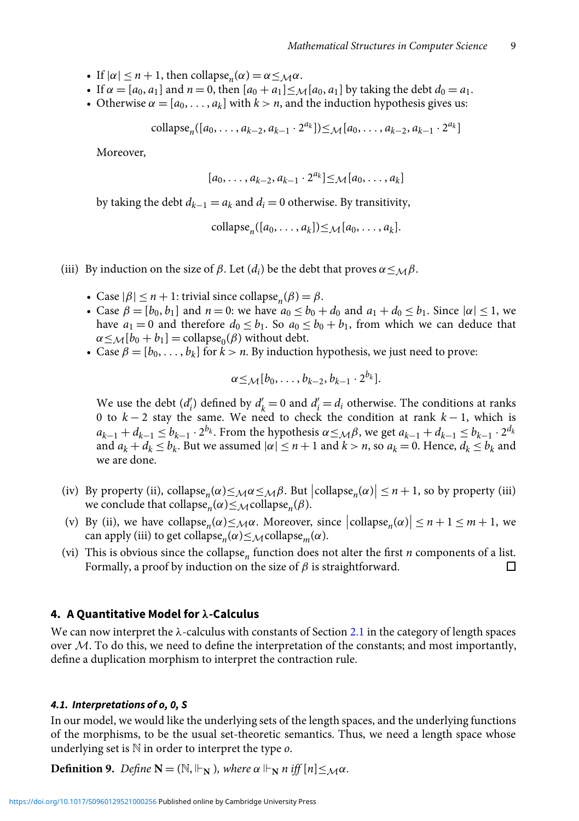- If  $|\alpha| \leq n+1$ , then collapse<sub>n</sub> $(\alpha) = \alpha \leq_{\mathcal{M}} \alpha$ .
- If  $\alpha = [a_0, a_1]$  and  $n = 0$ , then  $[a_0 + a_1] \leq M[a_0, a_1]$  by taking the debt  $d_0 = a_1$ .
- Otherwise  $\alpha = [a_0, \ldots, a_k]$  with  $k > n$ , and the induction hypothesis gives us:

$$
\text{collapse}_n([a_0,\ldots,a_{k-2},a_{k-1}\cdot 2^{a_k}])\leq \mathcal{M}[a_0,\ldots,a_{k-2},a_{k-1}\cdot 2^{a_k}]
$$

Moreover,

$$
[a_0, \ldots, a_{k-2}, a_{k-1} \cdot 2^{a_k}] \leq \mathcal{M}[a_0, \ldots, a_k]
$$

by taking the debt  $d_{k-1} = a_k$  and  $d_i = 0$  otherwise. By transitivity,

$$
\text{collapse}_n([a_0,\ldots,a_k]) \leq \mathcal{M}[a_0,\ldots,a_k].
$$

- (iii) By induction on the size of  $\beta$ . Let  $(d_i)$  be the debt that proves  $\alpha \leq_{\mathcal{M}} \beta$ .
	- Case  $|\beta| \le n + 1$ : trivial since collapse<sub>n</sub> $(\beta) = \beta$ .
	- Case  $\beta = [b_0, b_1]$  and  $n = 0$ : we have  $a_0 \le b_0 + d_0$  and  $a_1 + d_0 \le b_1$ . Since  $|\alpha| \le 1$ , we have  $a_1 = 0$  and therefore  $d_0 \leq b_1$ . So  $a_0 \leq b_0 + b_1$ , from which we can deduce that  $\alpha \leq M[b_0 + b_1] = \text{collapse}_0(\beta)$  without debt.
	- Case  $\beta = [b_0, \ldots, b_k]$  for  $k > n$ . By induction hypothesis, we just need to prove:

$$
\alpha \leq_{\mathcal{M}} [b_0,\ldots,b_{k-2},b_{k-1}\cdot 2^{b_k}].
$$

We use the debt  $(d'_i)$  defined by  $d'_k = 0$  and  $d'_i = d_i$  otherwise. The conditions at ranks 0 to *k* − 2 stay the same. We need to check the condition at rank *k* − 1, which is  $a_{k-1} + d_{k-1} \leq b_{k-1} \cdot 2^{b_k}$ . From the hypothesis  $\alpha \leq \mathcal{M} \beta$ , we get  $a_{k-1} + d_{k-1} \leq b_{k-1} \cdot 2^{d_k}$ and  $a_k + d_k \leq b_k$ . But we assumed  $|\alpha| \leq n + 1$  and  $k > n$ , so  $a_k = 0$ . Hence,  $d_k \leq b_k$  and we are done.

- (iv) By property (ii), collapse<sub>n</sub>( $\alpha$ )  $\leq$   $\mathcal{M}\alpha \leq \mathcal{M}\beta$ . But  $|$  collapse<sub>n</sub>( $\alpha$ )  $| \leq n+1$ , so by property (iii) we conclude that collapse<sub>n</sub>( $\alpha$ ) $\leq$ <sub>*M*</sub> collapse<sub>n</sub>( $\beta$ ).
- (v) By (ii), we have collapse<sub>n</sub>( $\alpha$ )  $\leq$   $\mathcal{M}\alpha$ . Moreover, since  $|\text{collapse}_n(\alpha)| \leq n + 1 \leq m + 1$ , we can apply (iii) to get collapse<sub>n</sub>( $\alpha$ ) $\leq$ *M*collapse<sub>*m*</sub>( $\alpha$ ).
- (vi) This is obvious since the collapse<sub>n</sub> function does not alter the first *n* components of a list.<br>Formally, a proof by induction on the size of *B* is straightforward. Formally, a proof by induction on the size of  $\beta$  is straightforward.

#### <span id="page-8-0"></span>**4. A Quantitative Model for** *λ***-Calculus**

We can now interpret the  $\lambda$ -calculus with constants of Section [2.1](#page-3-3) in the category of length spaces over *M*. To do this, we need to define the interpretation of the constants; and most importantly, define a duplication morphism to interpret the contraction rule.

#### <span id="page-8-1"></span>*4.1. Interpretations of o, 0, S*

In our model, we would like the underlying sets of the length spaces, and the underlying functions of the morphisms, to be the usual set-theoretic semantics. Thus, we need a length space whose underlying set is N in order to interpret the type *o*.

**Definition 9.** Define  $\mathbf{N} = (\mathbb{N}, \Vdash_{\mathbf{N}})$ , where  $\alpha \Vdash_{\mathbf{N}} n$  iff  $[n] \leq_{\mathcal{M}} \alpha$ .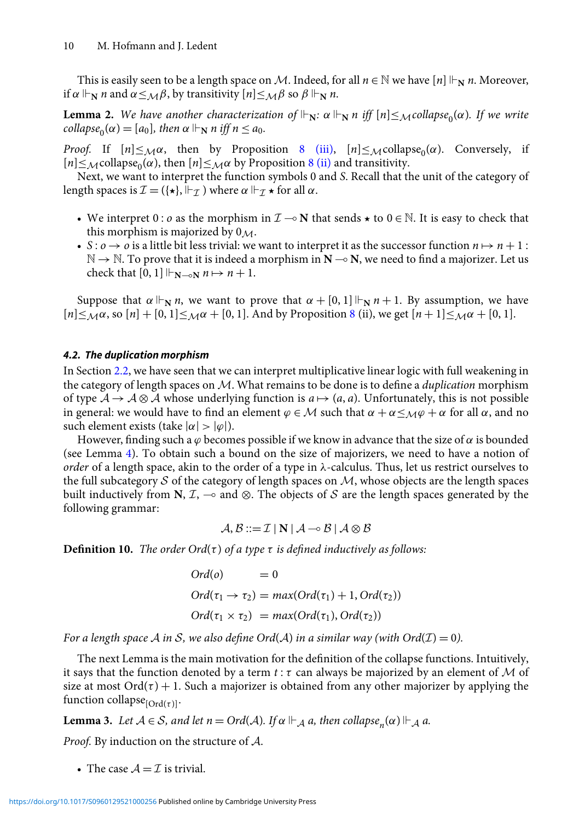This is easily seen to be a length space on *M*. Indeed, for all  $n \in \mathbb{N}$  we have  $[n] \Vdash_N n$ . Moreover, if  $\alpha \Vdash_{\mathbf{N}} n$  and  $\alpha \leq_{\mathcal{M}} \beta$ , by transitivity  $[n] \leq_{\mathcal{M}} \beta$  so  $\beta \Vdash_{\mathbf{N}} n$ .

**Lemma 2.** We have another characterization of  $\Vdash_{\mathbb{N}}$ :  $\alpha \Vdash_{\mathbb{N}} n$  iff  $[n] \leq_{\mathcal{M}}$ collapse<sub>0</sub>( $\alpha$ ). If we write  $\text{collapse}_0(\alpha) = [a_0]$ , then  $\alpha \Vdash_{\mathbf{N}} n \text{ iff } n \leq a_0$ .

*Proof.* If  $[n] \leq M\alpha$ , then by Proposition [8](#page-7-2) [\(iii\),](#page-7-3)  $[n] \leq M$ collapse<sub>0</sub>(α). Conversely, if  $[n] \leq M$ collapse<sub>0</sub>( $\alpha$ ), then  $[n] \leq M\alpha$  by Proposition [8](#page-7-2) [\(ii\)](#page-7-3) and transitivity.

Next, we want to interpret the function symbols 0 and *S*. Recall that the unit of the category of length spaces is  $\mathcal{I} = (\{\star\}, \Vdash_{\mathcal{I}})$  where  $\alpha \Vdash_{\mathcal{I}} \star$  for all  $\alpha$ .

- We interpret 0 : *o* as the morphism in  $\mathcal{I} \rightarrow \mathbb{N}$  that sends  $\star$  to  $0 \in \mathbb{N}$ . It is easy to check that this morphism is majorized by 0*M*.
- $S: \rho \rightarrow \rho$  is a little bit less trivial: we want to interpret it as the successor function  $n \mapsto n + 1$ :  $\mathbb{N} \to \mathbb{N}$ . To prove that it is indeed a morphism in  $\mathbb{N} \to \mathbb{N}$ , we need to find a majorizer. Let us check that  $[0, 1] \Vdash_{\mathbf{N} \to \mathbf{N}} n \mapsto n + 1$ .

<span id="page-9-0"></span>Suppose that  $\alpha \Vdash_N n$ , we want to prove that  $\alpha + [0, 1] \Vdash_N n + 1$ . By assumption, we have  $[n] \leq \mathcal{M} \alpha$ , so  $[n] + [0, 1] \leq \mathcal{M} \alpha + [0, 1]$ . And by Proposition [8](#page-7-2) (ii), we get  $[n+1] \leq \mathcal{M} \alpha + [0, 1]$ .

#### *4.2. The duplication morphism*

In Section [2.2,](#page-3-2) we have seen that we can interpret multiplicative linear logic with full weakening in the category of length spaces on *M*. What remains to be done is to define a *duplication* morphism of type  $A \rightarrow A \otimes A$  whose underlying function is  $a \mapsto (a, a)$ . Unfortunately, this is not possible in general: we would have to find an element  $\varphi \in \mathcal{M}$  such that  $\alpha + \alpha \leq_{\mathcal{M}} \varphi + \alpha$  for all  $\alpha$ , and no such element exists (take  $|\alpha| > |\varphi|$ ).

However, finding such a  $\varphi$  becomes possible if we know in advance that the size of  $\alpha$  is bounded (see Lemma [4\)](#page-16-12). To obtain such a bound on the size of majorizers, we need to have a notion of *order* of a length space, akin to the order of a type in  $\lambda$ -calculus. Thus, let us restrict ourselves to the full subcategory *S* of the category of length spaces on *M*, whose objects are the length spaces built inductively from **N**,  $\mathcal{I}, \neg$  and  $\otimes$ . The objects of *S* are the length spaces generated by the following grammar:

 $A, B ::= \mathcal{I} | N | A \rightarrow B | A \otimes B$ 

**Definition 10.** *The order Ord*( $\tau$ ) *of a type*  $\tau$  *is defined inductively as follows:* 

$$
Ord(o) = 0
$$
  
\n
$$
Ord(\tau_1 \rightarrow \tau_2) = max(Ord(\tau_1) + 1, Ord(\tau_2))
$$
  
\n
$$
Ord(\tau_1 \times \tau_2) = max(Ord(\tau_1), Ord(\tau_2))
$$

*For a length space A in S, we also define Ord*(*A*) *in a similar way* (*with Ord*(*I*) = 0).

The next Lemma is the main motivation for the definition of the collapse functions. Intuitively, it says that the function denoted by a term *t* : τ can always be majorized by an element of *M* of size at most  $Ord(\tau) + 1$ . Such a majorizer is obtained from any other majorizer by applying the function collapse $_{\text{[Ord}(\tau)]}$ .

**Lemma 3.** *Let*  $A \in S$ *, and let*  $n = Ord(A)$ *. If*  $\alpha \Vdash_{\mathcal{A}} a$ *, then collapse<sub>n</sub>*( $\alpha$ )  $\Vdash_{\mathcal{A}} a$ *.* 

*Proof.* By induction on the structure of *A*.

• The case  $A = I$  is trivial.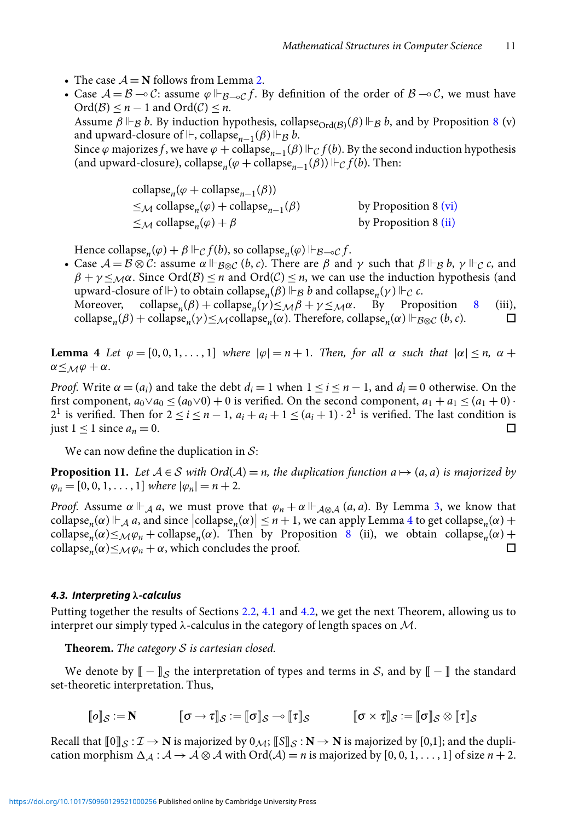- The case  $A = N$  follows from Lemma [2.](#page-7-0)
- Case  $A = B \sim C$ : assume  $\varphi \Vdash_{B \sim C} f$ . By definition of the order of  $B \sim C$ , we must have  $Ord(\mathcal{B}) \leq n-1$  and  $Ord(\mathcal{C}) \leq n$ .

Assume  $\beta \Vdash_{\mathcal{B}} b$ . By induction hypothesis, collapse<sub>Ord(*B*)( $\beta$ )  $\Vdash_{\mathcal{B}} b$ , and by Proposition [8](#page-7-2) (v)</sub> and upward-closure of  $\mathbb{H}$ , collapse<sub>n–1</sub>( $\beta$ )  $\mathbb{H}$ <sub>*B*</sub> *b*.

Since  $\varphi$  majorizes *f*, we have  $\varphi$  + collapse<sub>*n*−1</sub>( $\beta$ )  $\Vdash_{\mathcal{C}} f(b)$ . By the second induction hypothesis (and upward-closure), collapse<sub>*n*</sub>( $\varphi$  + collapse<sub>*n*-1</sub>( $\beta$ ))  $\vdash$ *c f*(*b*). Then:

| collapse <sub>n</sub> $(\varphi + \text{collapse}_{n-1}(\beta))$                           |                       |
|--------------------------------------------------------------------------------------------|-----------------------|
| $\leq_{\mathcal{M}}$ collapse <sub>n</sub> $(\varphi)$ + collapse <sub>n-1</sub> $(\beta)$ | by Proposition 8 (vi) |
| $\leq_{\mathcal{M}}$ collapse <sub>n</sub> $(\varphi) + \beta$                             | by Proposition 8 (ii) |

Hence collapse<sub>n</sub>( $\varphi$ ) +  $\beta \Vdash_{\mathcal{C}} f(b)$ , so collapse<sub>n</sub>( $\varphi$ )  $\Vdash_{\mathcal{B}\_\infty\mathcal{C}} f(c)$ .

• Case  $A = B \otimes C$ : assume  $\alpha \Vdash_{B \otimes C} (b, c)$ . There are β and γ such that  $\beta \Vdash_{B} b$ ,  $\gamma \Vdash_{C} c$ , and  $\beta + \gamma \leq_{\mathcal{M}} \alpha$ . Since Ord( $\beta$ )  $\leq n$  and Ord( $\beta$ )  $\leq n$ , we can use the induction hypothesis (and upward-closure of  $\vdash$ ) to obtain collapse<sub>n</sub>( $\beta$ )  $\vdash_{\beta}$  *b* and collapse<sub>n</sub>( $\gamma$ )  $\vdash_{\mathcal{C}} c$ .

Moreover, collapse<sub>n</sub>(β) + collapse<sub>n</sub>(γ)  $\leq$ *M*β + γ  $\leq$ *M*α. By Proposition [8](#page-7-2) (iii), collapse (β) + collapse (γ) < *M* collapse (α). Therefore, collapse (α)  $\| \text{F}_{\infty}$ α (b, c).  $\text{collapse}_n(\beta) + \text{collapse}_n(\gamma) \leq \mathcal{M} \text{collapse}_n(\alpha)$ . Therefore,  $\text{collapse}_n(\alpha) \Vdash_{\mathcal{B} \otimes \mathcal{C}} (b, c)$ .

**Lemma 4** Let  $\varphi = [0, 0, 1, \ldots, 1]$  where  $|\varphi| = n + 1$ . Then, for all  $\alpha$  such that  $|\alpha| \leq n$ ,  $\alpha +$  $\alpha \leq_{\mathcal{M}} \varphi + \alpha$ .

*Proof.* Write  $\alpha = (a_i)$  and take the debt  $d_i = 1$  when  $1 \le i \le n - 1$ , and  $d_i = 0$  otherwise. On the first component,  $a_0 \vee a_0 \leq (a_0 \vee 0) + 0$  is verified. On the second component,  $a_1 + a_1 \leq (a_1 + 0)$ . 2<sup>1</sup> is verified. Then for  $2 \le i \le n-1$ ,  $a_i + a_i + 1 \le (a_i + 1) \cdot 2$ <sup>1</sup> is verified. The last condition is just  $1 \leq 1$  since  $a_n = 0$ . П

We can now define the duplication in *S*:

**Proposition 11.** *Let*  $A \in S$  *with*  $Ord(A) = n$ *, the duplication function*  $a \mapsto (a, a)$  *is majorized by*  $\varphi_n = [0, 0, 1, \ldots, 1]$  *where*  $|\varphi_n| = n + 2$ *.* 

*Proof.* Assume  $\alpha \Vdash_{\mathcal{A}} a$ , we must prove that  $\varphi_n + \alpha \Vdash_{\mathcal{A} \otimes \mathcal{A}} (a, a)$ . By Lemma [3,](#page-11-0) we know that  $\text{collapse}_n(\alpha) \Vdash_{\mathcal{A}} a$ , and since  $|\text{collapse}_n(\alpha)| \leq n+1$ , we can apply Lemma [4](#page-16-12) to get collapse<sub>n</sub> $(\alpha)$  + collapse<sub>n</sub>( $\alpha$ )≤ $\mathcal{M}\varphi_n$  + collapse<sub>n</sub>( $\alpha$ ). Then by Proposition [8](#page-7-2) (ii), we obtain collapse<sub>n</sub>( $\alpha$ ) + collapse ( $\alpha$ ) <  $\mathcal{M}\varphi_n$  +  $\alpha$ , which concludes the proof. collapse<sub>n</sub>( $\alpha$ ) $\leq$  $M\varphi_n + \alpha$ , which concludes the proof.

#### *4.3. Interpreting λ-calculus*

Putting together the results of Sections [2.2,](#page-3-2) [4.1](#page-8-1) and [4.2,](#page-9-0) we get the next Theorem, allowing us to interpret our simply typed λ-calculus in the category of length spaces on *M*.

**Theorem.** *The category S is cartesian closed.*

We denote by  $[-\,$ <sub>S</sub> the interpretation of types and terms in *S*, and by  $[-\,$   $]$  the standard set-theoretic interpretation. Thus,

$$
[\![\sigma]\!]_{\mathcal{S}} := N \qquad \qquad [\![\sigma \to \tau]\!]_{\mathcal{S}} := [\![\sigma]\!]_{\mathcal{S}} \to [\![\tau]\!]_{\mathcal{S}} \qquad \qquad [\![\sigma \times \tau]\!]_{\mathcal{S}} := [\![\sigma]\!]_{\mathcal{S}} \otimes [\![\tau]\!]_{\mathcal{S}}
$$

Recall that  $[0]$ <sub>*S*</sub> :  $\mathcal{I} \to \mathbb{N}$  is majorized by  $0_M$ ;  $[S]$ <sub>*S*</sub> :  $\mathbb{N} \to \mathbb{N}$  is majorized by [0,1]; and the duplication morphism  $\Delta_A : A \to A \otimes A$  with  $\text{Ord}(A) = n$  is majorized by  $[0, 0, 1, \ldots, 1]$  of size  $n + 2$ .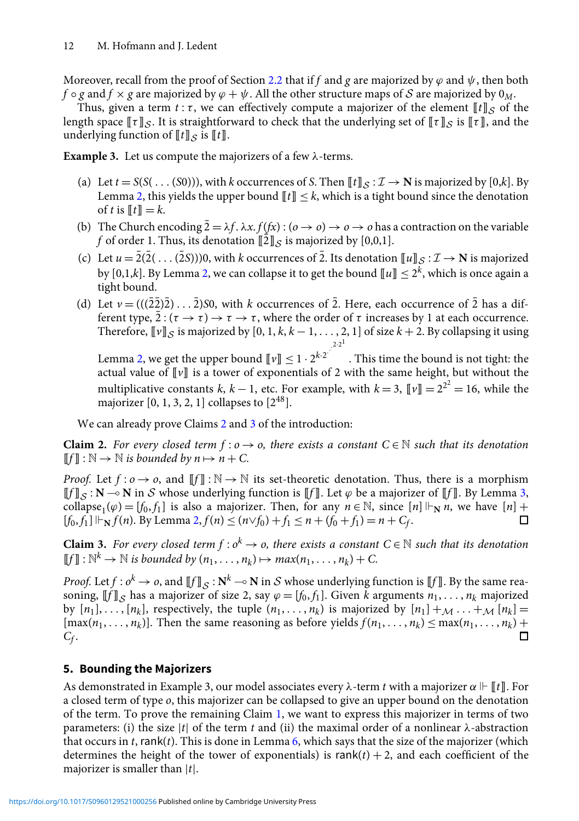Moreover, recall from the proof of Section [2.2](#page-3-2) that if f and g are majorized by  $\varphi$  and  $\psi$ , then both *f*  $\circ$  *g* and *f*  $\times$  *g* are majorized by  $\varphi$  +  $\psi$ . All the other structure maps of *S* are majorized by  $0_M$ .

Thus, given a term  $t : \tau$ , we can effectively compute a majorizer of the element  $[[t]]_{\mathcal{S}}$  of the length space  $[\![\tau]\!]_S$ . It is straightforward to check that the underlying set of  $[\![\tau]\!]_S$  is  $[\![\tau]\!]$ , and the underlying function of  $[[t]]_S$  is  $[[t]]$ .

<span id="page-11-0"></span>**Example 3.** Let us compute the majorizers of a few λ-terms.

- (a) Let  $t = S(S(...(S0))),$  with *k* occurrences of *S*. Then  $[[t]]_S : \mathcal{I} \to \mathbb{N}$  is majorized by [0,*k*]. By Lemma [2,](#page-7-0) this yields the upper bound  $[[t]] \leq k$ , which is a tight bound since the denotation of *t* is  $[$ [ $t$ ] = *k*.
- (b) The Church encoding  $\overline{2} = \lambda f \cdot \lambda x$ .  $f(fx) : (\overline{o} \to \overline{o}) \to \overline{o} \to \overline{o}$  has a contraction on the variable *f* of order 1. Thus, its denotation  $\overline{2}$ , is majorized by [0,0,1].
- (c) Let  $u = \overline{2}(\overline{2}(\ldots(\overline{2}S)))0$ , with *k* occurrences of  $\overline{2}$ . Its denotation  $[[u]]_S : \mathcal{I} \to \mathbb{N}$  is majorized by [0,1,*k*]. By Lemma [2,](#page-7-0) we can collapse it to get the bound  $||u|| \le 2^k$ , which is once again a tight bound.
- (d) Let  $v = ((2\overline{2})\overline{2})\dots \overline{2})$ S0, with *k* occurrences of  $\overline{2}$ . Here, each occurrence of  $\overline{2}$  has a different type,  $\overline{2}$ : ( $\tau \to \tau$ )  $\to \tau \to \tau$ , where the order of  $\tau$  increases by 1 at each occurrence. Therefore,  $[\![\nu]\!]_S$  is majorized by  $[0, 1, k, k - 1, \ldots, 2, 1]$  of size  $k + 2$ . By collapsing it using

Lemma [2,](#page-7-0) we get the upper bound  $[\![\nu]\!] \leq 1 \cdot 2^{k \cdot 2^{\cdot 2^{2k}}}$ . This time the bound is not tight: the actual value of  $[\![v]\!]$  is a tower of exponentials of 2 with the same height, but without the multiplicative constants *k*, *k* − 1, etc. For example, with *k* = 3,  $[\![v]\!] = 2^{2^2} = 16$ , while the majorizer [0, 1, 3, 2, 1] collapses to  $[2^{48}]$ .

We can already prove Claims [2](#page-11-2) and [3](#page-11-3) of the introduction:

<span id="page-11-2"></span>**Claim 2.** For every closed term  $f: o \rightarrow o$ , there exists a constant  $C \in \mathbb{N}$  such that its denotation  $[$ [f] :  $\mathbb{N} \rightarrow \mathbb{N}$  *is bounded by n*  $\mapsto$  *n* + *C*.

*Proof.* Let  $f: o \rightarrow o$ , and  $||f||: \mathbb{N} \rightarrow \mathbb{N}$  its set-theoretic denotation. Thus, there is a morphism  $[[f]]_S : N \longrightarrow N$  in *S* whose underlying function is  $[[f]]$ . Let  $\varphi$  be a majorizer of  $[[f]]$ . By Lemma [3,](#page-11-0) collapse<sub>1</sub>( $\varphi$ ) = [*f*<sub>0</sub>, *f*<sub>1</sub>] is also a majorizer. Then, for any *n*  $\in$  N, since [*n*]  $\vdash$  *n*, we have [*n*] +  $[f_0, f_1] \Vdash_N f(n)$ . By Lemma [2,](#page-7-0)  $f(n) \le (n \vee f_0) + f_1 \le n + (f_0 + f_1) = n + C_f$ . □

<span id="page-11-3"></span>**Claim 3.** For every closed term  $f : o^k \to o$ , there exists a constant  $C \in \mathbb{N}$  such that its denotation  $[[f]]: \mathbb{N}^k \to \mathbb{N}$  is bounded by  $(n_1, \ldots, n_k) \mapsto max(n_1, \ldots, n_k) + C$ .

*Proof.* Let  $f : o^k \to o$ , and  $\llbracket f \rrbracket_S : \mathbf{N}^k \to \mathbf{N}$  in *S* whose underlying function is  $\llbracket f \rrbracket$ . By the same reasoning,  $[[f]]_S$  has a majorizer of size 2, say  $\varphi = [f_0, f_1]$ . Given *k* arguments  $n_1, \ldots, n_k$  majorized by  $[n_1], \ldots, [n_k]$ , respectively, the tuple  $(n_1, \ldots, n_k)$  is majorized by  $[n_1] + M \ldots + M[n_k] =$  $[\max(n_1, \ldots, n_k)]$ . Then the same reasoning as before yields  $f(n_1, \ldots, n_k) \leq \max(n_1, \ldots, n_k) +$ *Cf* . □

## <span id="page-11-1"></span>**5. Bounding the Majorizers**

As demonstrated in Example 3, our model associates every  $\lambda$ -term  $t$  with a majorizer  $\alpha \Vdash \llbracket t \rrbracket.$  For a closed term of type *o*, this majorizer can be collapsed to give an upper bound on the denotation of the term. To prove the remaining Claim [1,](#page-1-1) we want to express this majorizer in terms of two parameters: (i) the size |*t*| of the term *t* and (ii) the maximal order of a nonlinear  $\lambda$ -abstraction that occurs in *t*, rank(*t*). This is done in Lemma [6,](#page-13-0) which says that the size of the majorizer (which determines the height of the tower of exponentials) is  $rank(t) + 2$ , and each coefficient of the majorizer is smaller than |*t*|.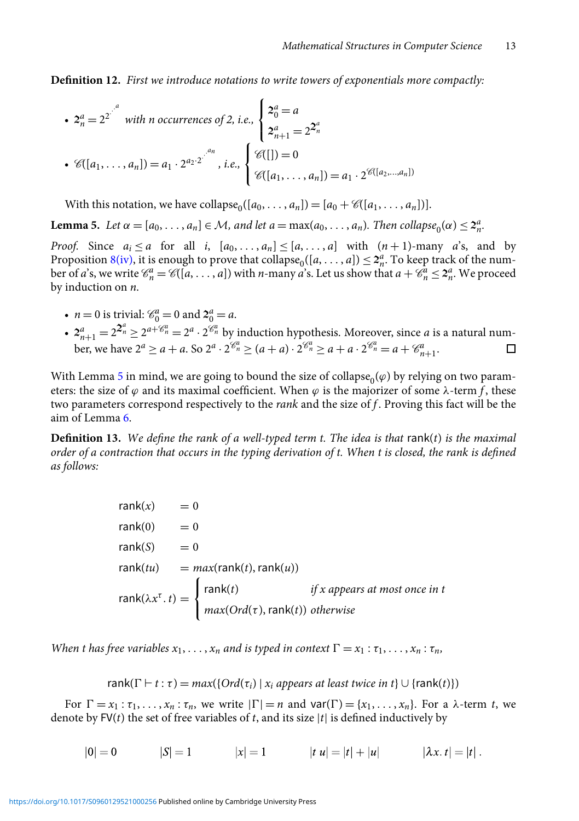**Definition 12.** *First we introduce notations to write towers of exponentials more compactly:*

• 
$$
2_n^a = 2^{2^{n^a}}
$$
 with *n* occurrences of 2, i.e., 
$$
\begin{cases} 2_0^a = a \\ 2_{n+1}^a = 2^{2_n^a} \end{cases}
$$
  
•  $\mathcal{C}([a_1, ..., a_n]) = a_1 \cdot 2^{a_2 \cdot 2^{n^a}}$ , i.e., 
$$
\begin{cases} \mathcal{C}([1]) = 0 \\ \mathcal{C}([a_1, ..., a_n]) = a_1 \cdot 2^{\mathcal{C}([a_2, ..., a_n])} \end{cases}
$$

With this notation, we have collapse<sub>0</sub>( $[a_0, \ldots, a_n]$ ) =  $[a_0 + \mathcal{C}(a_1, \ldots, a_n])$ ].

<span id="page-12-0"></span>**Lemma 5.** *Let*  $\alpha = [a_0, \ldots, a_n] \in M$ , and let  $a = \max(a_0, \ldots, a_n)$ . Then collapse<sub>0</sub>( $\alpha$ )  $\leq 2_n^a$ .

*Proof.* Since  $a_i \le a$  for all *i*,  $[a_0, \ldots, a_n] \le [a, \ldots, a]$  with  $(n+1)$ -many *a*'s, and by Proposition [8](#page-7-2)[\(iv\),](#page-7-3) it is enough to prove that collapse<sub>0</sub>([a, ..., a])  $\leq 2_n^a$ . To keep track of the number of *a*'s, we write  $\mathscr{C}_n^a = \mathscr{C}([a, \dots, a])$  with *n*-many *a*'s. Let us show that  $a + \mathscr{C}_n^a \leq 2_n^a$ . We proceed by induction on *n*.

- *n* = 0 is trivial:  $\mathcal{C}_0^a = 0$  and  $2_0^a = a$ .
- $2^a_{n+1} = 2^{2^a_n} \ge 2^{a+\mathscr{C}^a_n} = 2^a \cdot 2^{\mathscr{C}^a_n}$  by induction hypothesis. Moreover, since *a* is a natural number, we have  $2^a \ge a + a$ . So  $2^a \cdot 2^{\mathscr{C}_n^a} \ge (a + a) \cdot 2^{\mathscr{C}_n^a} \ge a + a \cdot 2^{\mathscr{C}_n^a} = a + \mathscr{C}_{n+1}^a$ .

With Lemma [5](#page-12-0) in mind, we are going to bound the size of collapse<sub>0</sub>( $\varphi$ ) by relying on two parameters: the size of  $\varphi$  and its maximal coefficient. When  $\varphi$  is the majorizer of some  $\lambda$ -term f, these two parameters correspond respectively to the *rank* and the size of *f* . Proving this fact will be the aim of Lemma [6.](#page-13-0)

**Definition 13.** *We define the rank of a well-typed term t. The idea is that* rank(*t*) *is the maximal order of a contraction that occurs in the typing derivation of t. When t is closed, the rank is defined as follows:*

$$
rank(x) = 0
$$
  
\n
$$
rank(0) = 0
$$
  
\n
$$
rank(tu) = max(rank(t), rank(u))
$$
  
\n
$$
rank(\lambda x^{\tau}. t) = \begin{cases} rank(t) & \text{if } x \text{ appears at most once in } t \\ max(Ord(\tau), rank(t)) \text{ otherwise} \end{cases}
$$

*When t has free variables*  $x_1, \ldots, x_n$  *and is typed in context*  $\Gamma = x_1 : \tau_1, \ldots, x_n : \tau_n$ ,

 $rank(\Gamma \vdash t : \tau) = max({\lbrace Ord(\tau_i) \mid x_i \text{ appears at least twice in } t \rbrace \cup {\lbrace rank(t) \rbrace}})$ 

For  $\Gamma = x_1 : \tau_1, \ldots, x_n : \tau_n$ , we write  $|\Gamma| = n$  and  $var(\Gamma) = \{x_1, \ldots, x_n\}$ . For a  $\lambda$ -term *t*, we denote by  $FV(t)$  the set of free variables of *t*, and its size |*t*| is defined inductively by

 $|0| = 0$   $|S| = 1$   $|x| = 1$   $|t| = |t| + |u|$   $|\lambda x. t| = |t|.$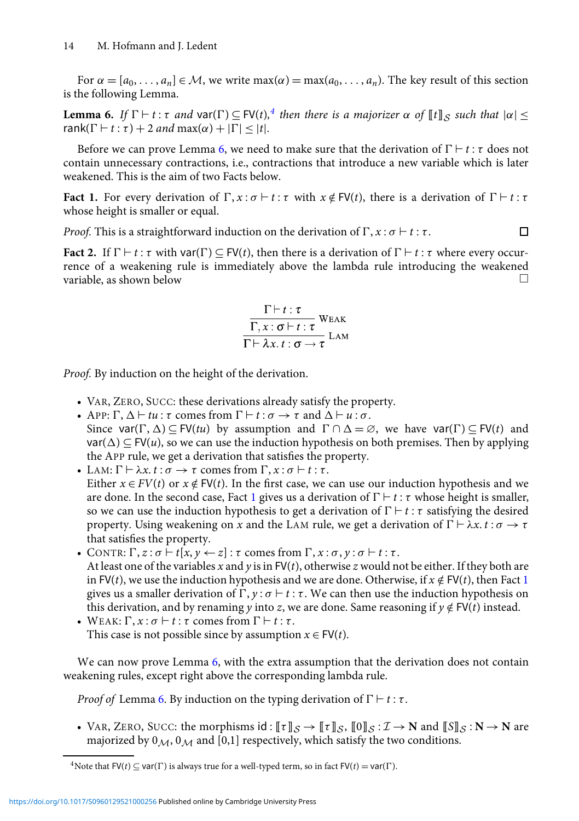For  $\alpha = [a_0, \ldots, a_n] \in \mathcal{M}$ , we write  $\max(\alpha) = \max(a_0, \ldots, a_n)$ . The key result of this section is the following Lemma.

<span id="page-13-0"></span>**Lemma 6.** *If*  $\Gamma \vdash t : \tau$  *and*  $\text{var}(\Gamma) \subseteq \text{FV}(t),^4$  $\text{var}(\Gamma) \subseteq \text{FV}(t),^4$  *then there is a majorizer*  $\alpha$  *of*  $[\![t]\!]_S$  *such that*  $|\alpha| \le$  $rank(\Gamma \vdash t : \tau) + 2$  *and*  $max(\alpha) + |\Gamma| < |t|$ .

Before we can prove Lemma [6,](#page-13-0) we need to make sure that the derivation of  $\Gamma \vdash t : \tau$  does not contain unnecessary contractions, i.e., contractions that introduce a new variable which is later weakened. This is the aim of two Facts below.

<span id="page-13-2"></span>**Fact 1.** For every derivation of  $\Gamma, x : \sigma \vdash t : \tau$  with  $x \notin FV(t)$ , there is a derivation of  $\Gamma \vdash t : \tau$ whose height is smaller or equal.

 $\Box$ 

*Proof.* This is a straightforward induction on the derivation of  $\Gamma$ ,  $x : \sigma \vdash t : \tau$ .

**Fact 2.** If  $\Gamma \vdash t : \tau$  with  $\text{var}(\Gamma) \subseteq \text{FV}(t)$ , then there is a derivation of  $\Gamma \vdash t : \tau$  where every occurrence of a weakening rule is immediately above the lambda rule introducing the weakened variable, as shown below

$$
\frac{\Gamma\vdash t:\tau}{\Gamma,x:\sigma\vdash t:\tau}\text{WEAK}\over\Gamma\vdash\lambda x.\,t:\sigma\rightarrow\tau}\text{LAM}
$$

*Proof.* By induction on the height of the derivation.

- VAR, ZERO, SUCC: these derivations already satisfy the property.
- APP:  $\Gamma$ ,  $\Delta \vdash tu : \tau$  comes from  $\Gamma \vdash t : \sigma \rightarrow \tau$  and  $\Delta \vdash u : \sigma$ . Since var( $\Gamma$ ,  $\Delta$ )  $\subseteq$  FV(*tu*) by assumption and  $\Gamma \cap \Delta = \emptyset$ , we have var( $\Gamma$ )  $\subseteq$  FV(*t*) and  $\text{var}(\Delta) \subset \text{FV}(u)$ , so we can use the induction hypothesis on both premises. Then by applying the APP rule, we get a derivation that satisfies the property.
- LAM:  $\Gamma \vdash \lambda x. t : \sigma \rightarrow \tau$  comes from  $\Gamma, x : \sigma \vdash t : \tau$ . Either  $x \in FV(t)$  or  $x \notin FV(t)$ . In the first case, we can use our induction hypothesis and we are done. In the second case, Fact [1](#page-13-2) gives us a derivation of  $\Gamma \vdash t : \tau$  whose height is smaller, so we can use the induction hypothesis to get a derivation of  $\Gamma \vdash t : \tau$  satisfying the desired property. Using weakening on *x* and the LAM rule, we get a derivation of  $\Gamma \vdash \lambda x$ .  $t : \sigma \rightarrow \tau$ that satisfies the property.
- CONTR:  $\Gamma$ ,  $z : \sigma \vdash t[x, y \leftarrow z] : \tau$  comes from  $\Gamma$ ,  $x : \sigma$ ,  $y : \sigma \vdash t : \tau$ . At least one of the variables *x* and *y* is in FV(*t*), otherwise *z* would not be either. If they both are in FV(*t*), we use the induction hypothesis and we are done. Otherwise, if  $x \notin FV(t)$ , then Fact [1](#page-13-2) gives us a smaller derivation of  $\Gamma$ ,  $y$  :  $\sigma$   $\vdash$  t :  $\tau$ . We can then use the induction hypothesis on this derivation, and by renaming *y* into *z*, we are done. Same reasoning if  $y \notin FV(t)$  instead.
- WEAK:  $\Gamma$ ,  $x : \sigma \vdash t : \tau$  comes from  $\Gamma \vdash t : \tau$ . This case is not possible since by assumption  $x \in FV(t)$ .

We can now prove Lemma [6,](#page-13-0) with the extra assumption that the derivation does not contain weakening rules, except right above the corresponding lambda rule.

*Proof of* Lemma [6.](#page-13-0) By induction on the typing derivation of  $\Gamma \vdash t : \tau$ .

• VAR, ZERO, SUCC: the morphisms  $id: [ [ \tau ] ]_{S} \rightarrow [ \tau ] ]_{S}$ ,  $[ \lbrack 0 \rbrack ]_{S} : I \rightarrow N$  and  $[ \lbrack S \rbrack ]_{S} : N \rightarrow N$  are majorized by  $0_M$ ,  $0_M$  and [0,1] respectively, which satisfy the two conditions.

<span id="page-13-1"></span><sup>&</sup>lt;sup>4</sup>Note that  $FV(t) \subseteq \text{var}(\Gamma)$  is always true for a well-typed term, so in fact  $FV(t) = \text{var}(\Gamma)$ .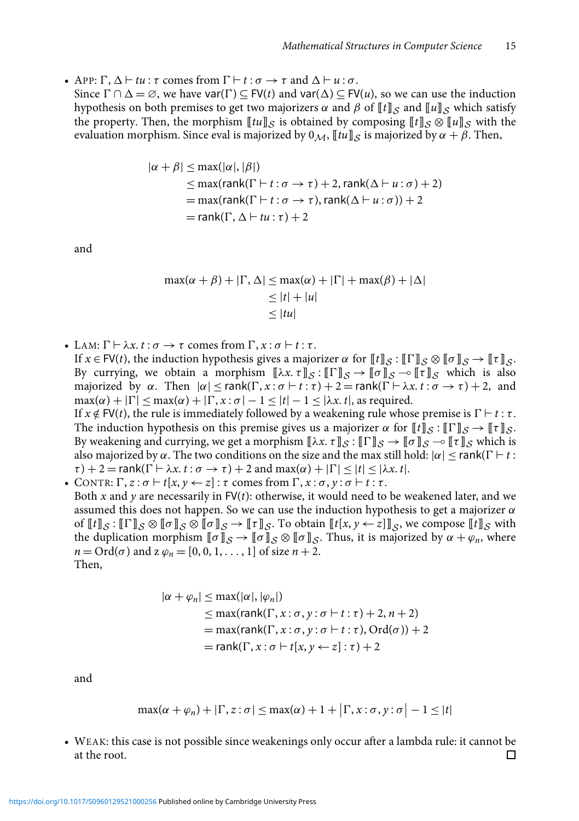• APP:  $\Gamma$ ,  $\Delta \vdash tu : \tau$  comes from  $\Gamma \vdash t : \sigma \rightarrow \tau$  and  $\Delta \vdash u : \sigma$ . Since  $\Gamma \cap \Delta = \emptyset$ , we have var( $\Gamma$ )  $\subset$  FV(*t*) and var( $\Delta$ )  $\subset$  FV(*u*), so we can use the induction hypothesis on both premises to get two majorizers α and β of  $[[t]]_S$  and  $[[u]]_S$  which satisfy the property. Then, the morphism  $[[tu]]_S$  is obtained by composing  $[[t]]_S \otimes [[u]]_S$  with the evaluation morphism. Since eval is majorized by  $0_M$ ,  $[[tu]]_S$  is majorized by  $\alpha + \beta$ . Then,

$$
|\alpha + \beta| \le \max(|\alpha|, |\beta|)
$$
  
\n
$$
\le \max(\text{rank}(\Gamma + t : \sigma \to \tau) + 2, \text{rank}(\Delta + u : \sigma) + 2)
$$
  
\n
$$
= \max(\text{rank}(\Gamma + t : \sigma \to \tau), \text{rank}(\Delta + u : \sigma)) + 2
$$
  
\n
$$
= \text{rank}(\Gamma, \Delta + tu : \tau) + 2
$$

and

$$
\max(\alpha + \beta) + |\Gamma, \Delta| \le \max(\alpha) + |\Gamma| + \max(\beta) + |\Delta|
$$
  
\n
$$
\le |t| + |u|
$$
  
\n
$$
\le |tu|
$$

• LAM:  $\Gamma \vdash \lambda x. t : \sigma \rightarrow \tau$  comes from  $\Gamma, x : \sigma \vdash t : \tau$ .

If  $x \in FV(t)$ , the induction hypothesis gives a majorizer  $\alpha$  for  $[[t]]_S : [[\Gamma]]_S \otimes [[\sigma]]_S \rightarrow [[\tau]]_S$ . By currying, we obtain a morphism  $[\![\lambda x.\ \tau]\!]_S : [\![\Gamma]\!]_S \to [\![\sigma]\!]_S$  which is also majorized by  $\alpha$ . Then  $|\alpha| \leq \text{rank}(\Gamma, x : \sigma \vdash t : \tau) + 2 = \text{rank}(\Gamma \vdash \lambda x. t : \sigma \rightarrow \tau) + 2$ , and  $max(\alpha) + |\Gamma| \leq max(\alpha) + |\Gamma, x : \sigma| - 1 \leq |t| - 1 \leq |\lambda x. t|$ , as required.

If  $x \notin FV(t)$ , the rule is immediately followed by a weakening rule whose premise is  $\Gamma \vdash t : \tau$ . The induction hypothesis on this premise gives us a majorizer  $\alpha$  for  $[[t]]_S : [[\Gamma]]_S \rightarrow [[\tau]]_S$ . By weakening and currying, we get a morphism  $[\![\lambda x.\ \tau]\!]_S : [\![\Gamma]\!]_S \to [\![\sigma]\!]_S$  which is also majorized by  $\alpha$ . The two conditions on the size and the max still hold:  $|\alpha|$  < rank( $\Gamma$   $\vdash t$  :  $\tau$ ) + 2 = rank( $\Gamma \vdash \lambda x$ .  $t : \sigma \rightarrow \tau$ ) + 2 and max( $\alpha$ ) +  $|\Gamma| \leq |t| \leq |\lambda x$ .  $t$ .

• CONTR:  $\Gamma$ ,  $z$  :  $\sigma$   $\vdash$   $t$ [ $x$ ,  $y$   $\leftarrow$   $z$ ] :  $\tau$  comes from  $\Gamma$ ,  $x$  :  $\sigma$ ,  $y$  :  $\sigma$   $\vdash$   $t$  :  $\tau$ . Both  $x$  and  $y$  are necessarily in  $FV(t)$ : otherwise, it would need to be weakened later, and we assumed this does not happen. So we can use the induction hypothesis to get a majorizer  $\alpha$ of  $[[t]]_S : [[\Gamma]]_S \otimes [[\sigma]]_S \otimes [[\sigma]]_S \rightarrow [[\tau]]_S$ . To obtain  $[[t(x, y \leftarrow z)]]_S$ , we compose  $[[t]]_S$  with the duplication morphism  $[\![\sigma]\!]_S \to [\![\sigma]\!]_S \otimes [\![\sigma]\!]_S$ . Thus, it is majorized by  $\alpha + \varphi_n$ , where  $n = \text{Ord}(\sigma)$  and  $z \varphi_n = [0, 0, 1, \ldots, 1]$  of size  $n + 2$ . Then,

$$
|\alpha + \varphi_n| \le \max(|\alpha|, |\varphi_n|)
$$
  
\n
$$
\le \max(\text{rank}(\Gamma, x : \sigma, y : \sigma \vdash t : \tau) + 2, n + 2)
$$
  
\n
$$
= \max(\text{rank}(\Gamma, x : \sigma, y : \sigma \vdash t : \tau), \text{Ord}(\sigma)) + 2
$$
  
\n
$$
= \text{rank}(\Gamma, x : \sigma \vdash t[x, y \leftarrow z] : \tau) + 2
$$

and

$$
\max(\alpha + \varphi_n) + |\Gamma, z : \sigma| \le \max(\alpha) + 1 + |\Gamma, x : \sigma, y : \sigma| - 1 \le |t|
$$

• WEAK: this case is not possible since weakenings only occur after a lambda rule: it cannot be at the root. П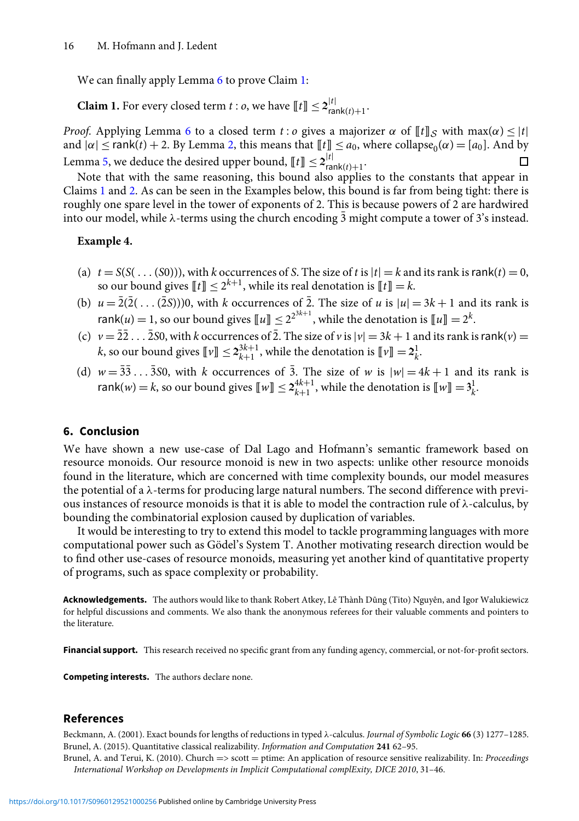We can finally apply Lemma [6](#page-13-0) to prove Claim [1:](#page-1-1)

**Claim 1.** For every closed term *t* : *o*, we have  $[$ [*t*] $] \le 2 \frac{|t|}{\text{rank}(t)+1}$ .

*Proof.* Applying Lemma [6](#page-13-0) to a closed term *t* : *o* gives a majorizer  $\alpha$  of  $[$ [t]<sup> $]$ </sup>*S* with max( $\alpha$ )  $\leq$  |t| and  $|\alpha| \leq \text{rank}(t) + 2$ . By Lemma [2,](#page-7-0) this means that  $[[t]] \leq a_0$ , where collapse<sub>0</sub>( $\alpha$ ) = [ $a_0$ ]. And by Lemma [5,](#page-12-0) we deduce the desired upper bound,  $\llbracket t \rrbracket \leq 2^{|t|}_{\text{rank}(t)+1}.$ Π

Note that with the same reasoning, this bound also applies to the constants that appear in Claims [1](#page-1-1) and [2.](#page-1-2) As can be seen in the Examples below, this bound is far from being tight: there is roughly one spare level in the tower of exponents of 2. This is because powers of 2 are hardwired into our model, while  $\lambda$ -terms using the church encoding  $\overline{3}$  might compute a tower of 3's instead.

#### **Example 4.**

- (a)  $t = S(S(\ldots (50)))$ , with *k* occurrences of *S*. The size of *t* is  $|t| = k$  and its rank is rank(*t*) = 0, so our bound gives  $[[t]] \leq 2^{k+1}$ , while its real denotation is  $[[t]] = k$ .
- (b)  $u = \overline{2}(\overline{2}(\ldots(\overline{2}S)))0$ , with *k* occurrences of  $\overline{2}$ . The size of *u* is  $|u| = 3k + 1$  and its rank is rank(*u*) = 1, so our bound gives  $\llbracket u \rrbracket \leq 2^{2^{3k+1}}$ , while the denotation is  $\llbracket u \rrbracket = 2^k$ .
- (c)  $v = \overline{22} \dots \overline{250}$ , with *k* occurrences of  $\overline{2}$ . The size of *v* is  $|v| = 3k + 1$  and its rank is rank(*v*) = *k*, so our bound gives  $[\![\nu]\!] \leq 2_{k+1}^{3k+1}$ , while the denotation is  $[\![\nu]\!]=2_k^1$ .
- (d)  $w = 3\overline{3} \dots \overline{3}50$ , with *k* occurrences of  $\overline{3}$ . The size of *w* is  $|w| = 4k + 1$  and its rank is rank(*w*) = *k*, so our bound gives  $[\![w]\!] \leq 2_{k+1}^{4k+1}$ , while the denotation is  $[\![w]\!] = 3_k^1$ .

#### **6. Conclusion**

We have shown a new use-case of Dal Lago and Hofmann's semantic framework based on resource monoids. Our resource monoid is new in two aspects: unlike other resource monoids found in the literature, which are concerned with time complexity bounds, our model measures the potential of a λ-terms for producing large natural numbers. The second difference with previous instances of resource monoids is that it is able to model the contraction rule of  $\lambda$ -calculus, by bounding the combinatorial explosion caused by duplication of variables.

It would be interesting to try to extend this model to tackle programming languages with more computational power such as Gödel's System T. Another motivating research direction would be to find other use-cases of resource monoids, measuring yet another kind of quantitative property of programs, such as space complexity or probability.

Acknowledgements. The authors would like to thank Robert Atkey, Lê Thành Dũng (Tito) Nguyên, and Igor Walukiewicz for helpful discussions and comments. We also thank the anonymous referees for their valuable comments and pointers to the literature.

Financial support. This research received no specific grant from any funding agency, commercial, or not-for-profit sectors.

**Competing interests.** The authors declare none.

#### **References**

<span id="page-15-2"></span><span id="page-15-1"></span><span id="page-15-0"></span>Beckmann, A. (2001). Exact bounds for lengths of reductions in typed λ-calculus. *Journal of Symbolic Logic* **66** (3) 1277–1285. Brunel, A. (2015). Quantitative classical realizability. *Information and Computation* **241** 62–95. Brunel, A. and Terui, K. (2010). Church => scott = ptime: An application of resource sensitive realizability. In: *Proceedings International Workshop on Developments in Implicit Computational complExity, DICE 2010*, 31–46.